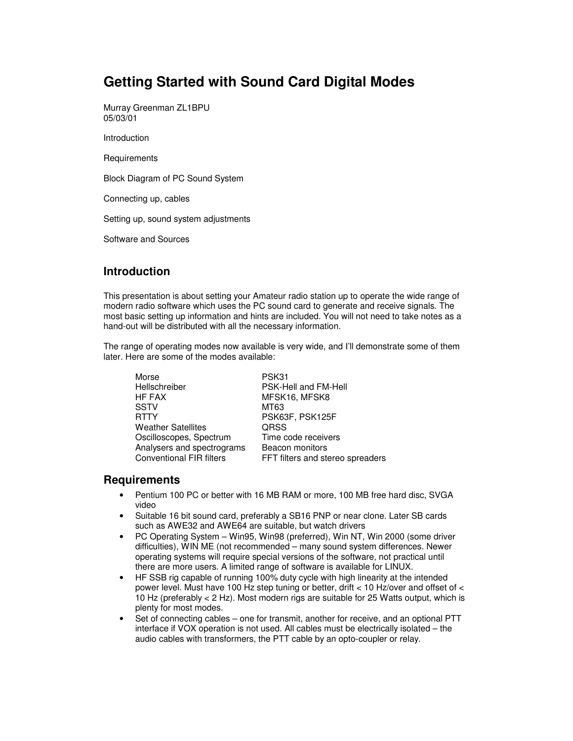# **Getting Started with Sound Card Digital Modes**

Murray Greenman ZL1BPU 05/03/01

Introduction

**Requirements** 

Block Diagram of PC Sound System

Connecting up, cables

Setting up, sound system adjustments

Software and Sources

#### **Introduction**

This presentation is about setting your Amateur radio station up to operate the wide range of modern radio software which uses the PC sound card to generate and receive signals. The most basic setting up information and hints are included. You will not need to take notes as a hand-out will be distributed with all the necessary information.

The range of operating modes now available is very wide, and I'll demonstrate some of them later. Here are some of the modes available:

| Morse                           | PSK31                            |
|---------------------------------|----------------------------------|
| Hellschreiber                   | PSK-Hell and FM-Hell             |
| HF FAX                          | MFSK16, MFSK8                    |
| <b>SSTV</b>                     | MT63                             |
| <b>RTTY</b>                     | PSK63F, PSK125F                  |
| <b>Weather Satellites</b>       | <b>QRSS</b>                      |
| Oscilloscopes, Spectrum         | Time code receivers              |
| Analysers and spectrograms      | Beacon monitors                  |
| <b>Conventional FIR filters</b> | FFT filters and stereo spreaders |

#### **Requirements**

- Pentium 100 PC or better with 16 MB RAM or more, 100 MB free hard disc, SVGA video
- Suitable 16 bit sound card, preferably a SB16 PNP or near clone. Later SB cards such as AWE32 and AWE64 are suitable, but watch drivers
- PC Operating System Win95, Win98 (preferred), Win NT, Win 2000 (some driver difficulties), WIN ME (not recommended – many sound system differences. Newer operating systems will require special versions of the software, not practical until there are more users. A limited range of software is available for LINUX.
- HF SSB rig capable of running 100% duty cycle with high linearity at the intended power level. Must have 100 Hz step tuning or better, drift < 10 Hz/over and offset of < 10 Hz (preferably < 2 Hz). Most modern rigs are suitable for 25 Watts output, which is plenty for most modes.
- Set of connecting cables one for transmit, another for receive, and an optional PTT interface if VOX operation is not used. All cables must be electrically isolated – the audio cables with transformers, the PTT cable by an opto-coupler or relay.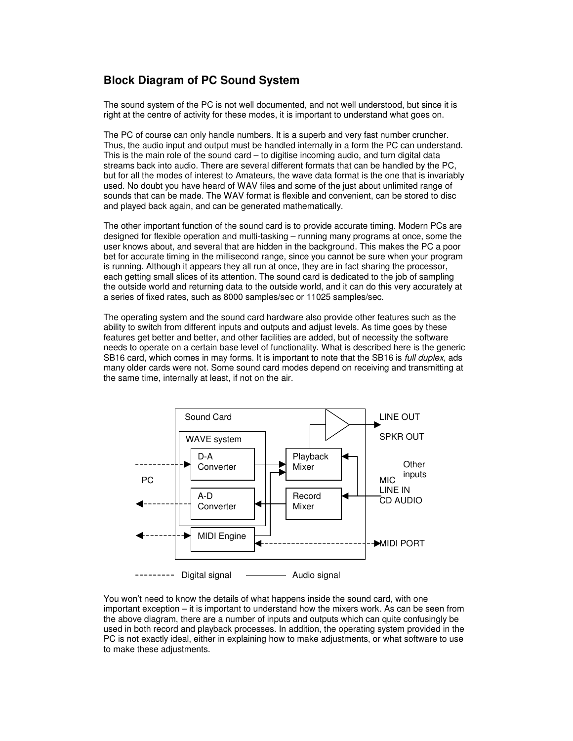#### **Block Diagram of PC Sound System**

The sound system of the PC is not well documented, and not well understood, but since it is right at the centre of activity for these modes, it is important to understand what goes on.

The PC of course can only handle numbers. It is a superb and very fast number cruncher. Thus, the audio input and output must be handled internally in a form the PC can understand. This is the main role of the sound card – to digitise incoming audio, and turn digital data streams back into audio. There are several different formats that can be handled by the PC, but for all the modes of interest to Amateurs, the wave data format is the one that is invariably used. No doubt you have heard of WAV files and some of the just about unlimited range of sounds that can be made. The WAV format is flexible and convenient, can be stored to disc and played back again, and can be generated mathematically.

The other important function of the sound card is to provide accurate timing. Modern PCs are designed for flexible operation and multi-tasking – running many programs at once, some the user knows about, and several that are hidden in the background. This makes the PC a poor bet for accurate timing in the millisecond range, since you cannot be sure when your program is running. Although it appears they all run at once, they are in fact sharing the processor, each getting small slices of its attention. The sound card is dedicated to the job of sampling the outside world and returning data to the outside world, and it can do this very accurately at a series of fixed rates, such as 8000 samples/sec or 11025 samples/sec.

The operating system and the sound card hardware also provide other features such as the ability to switch from different inputs and outputs and adjust levels. As time goes by these features get better and better, and other facilities are added, but of necessity the software needs to operate on a certain base level of functionality. What is described here is the generic SB16 card, which comes in may forms. It is important to note that the SB16 is *full duplex*, ads many older cards were not. Some sound card modes depend on receiving and transmitting at the same time, internally at least, if not on the air.



You won't need to know the details of what happens inside the sound card, with one important exception – it is important to understand how the mixers work. As can be seen from the above diagram, there are a number of inputs and outputs which can quite confusingly be used in both record and playback processes. In addition, the operating system provided in the PC is not exactly ideal, either in explaining how to make adjustments, or what software to use to make these adjustments.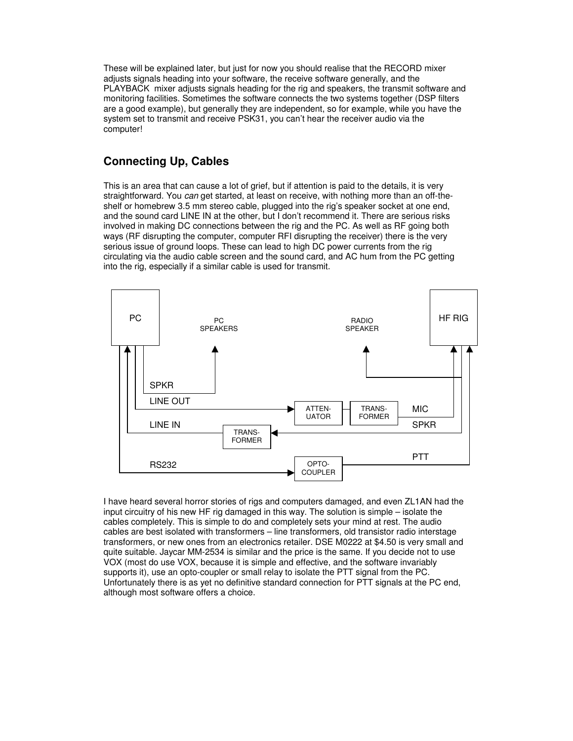These will be explained later, but just for now you should realise that the RECORD mixer adjusts signals heading into your software, the receive software generally, and the PLAYBACK mixer adjusts signals heading for the rig and speakers, the transmit software and monitoring facilities. Sometimes the software connects the two systems together (DSP filters are a good example), but generally they are independent, so for example, while you have the system set to transmit and receive PSK31, you can't hear the receiver audio via the computer!

## **Connecting Up, Cables**

This is an area that can cause a lot of grief, but if attention is paid to the details, it is very straightforward. You *can* get started, at least on receive, with nothing more than an off-theshelf or homebrew 3.5 mm stereo cable, plugged into the rig's speaker socket at one end, and the sound card LINE IN at the other, but I don't recommend it. There are serious risks involved in making DC connections between the rig and the PC. As well as RF going both ways (RF disrupting the computer, computer RFI disrupting the receiver) there is the very serious issue of ground loops. These can lead to high DC power currents from the rig circulating via the audio cable screen and the sound card, and AC hum from the PC getting into the rig, especially if a similar cable is used for transmit.



I have heard several horror stories of rigs and computers damaged, and even ZL1AN had the input circuitry of his new HF rig damaged in this way. The solution is simple – isolate the cables completely. This is simple to do and completely sets your mind at rest. The audio cables are best isolated with transformers – line transformers, old transistor radio interstage transformers, or new ones from an electronics retailer. DSE M0222 at \$4.50 is very small and quite suitable. Jaycar MM-2534 is similar and the price is the same. If you decide not to use VOX (most do use VOX, because it is simple and effective, and the software invariably supports it), use an opto-coupler or small relay to isolate the PTT signal from the PC. Unfortunately there is as yet no definitive standard connection for PTT signals at the PC end, although most software offers a choice.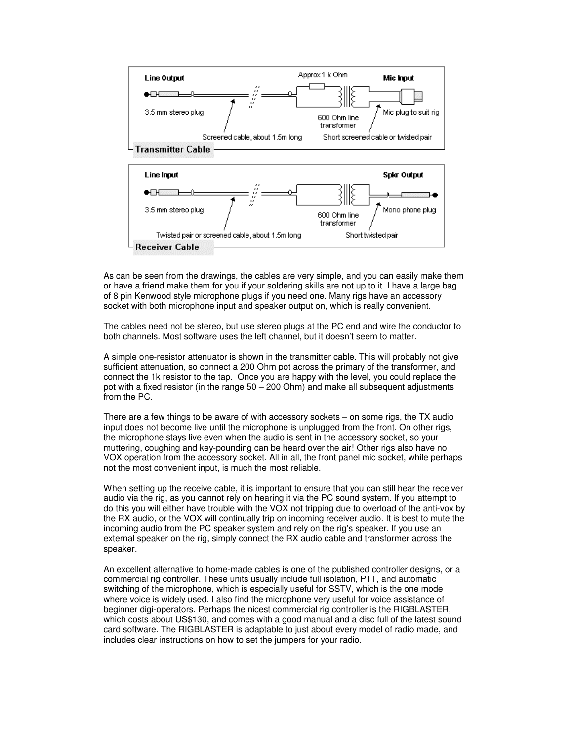

As can be seen from the drawings, the cables are very simple, and you can easily make them or have a friend make them for you if your soldering skills are not up to it. I have a large bag of 8 pin Kenwood style microphone plugs if you need one. Many rigs have an accessory socket with both microphone input and speaker output on, which is really convenient.

The cables need not be stereo, but use stereo plugs at the PC end and wire the conductor to both channels. Most software uses the left channel, but it doesn't seem to matter.

A simple one-resistor attenuator is shown in the transmitter cable. This will probably not give sufficient attenuation, so connect a 200 Ohm pot across the primary of the transformer, and connect the 1k resistor to the tap. Once you are happy with the level, you could replace the pot with a fixed resistor (in the range  $50 - 200$  Ohm) and make all subsequent adjustments from the PC.

There are a few things to be aware of with accessory sockets – on some rigs, the TX audio input does not become live until the microphone is unplugged from the front. On other rigs, the microphone stays live even when the audio is sent in the accessory socket, so your muttering, coughing and key-pounding can be heard over the air! Other rigs also have no VOX operation from the accessory socket. All in all, the front panel mic socket, while perhaps not the most convenient input, is much the most reliable.

When setting up the receive cable, it is important to ensure that you can still hear the receiver audio via the rig, as you cannot rely on hearing it via the PC sound system. If you attempt to do this you will either have trouble with the VOX not tripping due to overload of the anti-vox by the RX audio, or the VOX will continually trip on incoming receiver audio. It is best to mute the incoming audio from the PC speaker system and rely on the rig's speaker. If you use an external speaker on the rig, simply connect the RX audio cable and transformer across the speaker.

An excellent alternative to home-made cables is one of the published controller designs, or a commercial rig controller. These units usually include full isolation, PTT, and automatic switching of the microphone, which is especially useful for SSTV, which is the one mode where voice is widely used. I also find the microphone very useful for voice assistance of beginner digi-operators. Perhaps the nicest commercial rig controller is the RIGBLASTER, which costs about US\$130, and comes with a good manual and a disc full of the latest sound card software. The RIGBLASTER is adaptable to just about every model of radio made, and includes clear instructions on how to set the jumpers for your radio.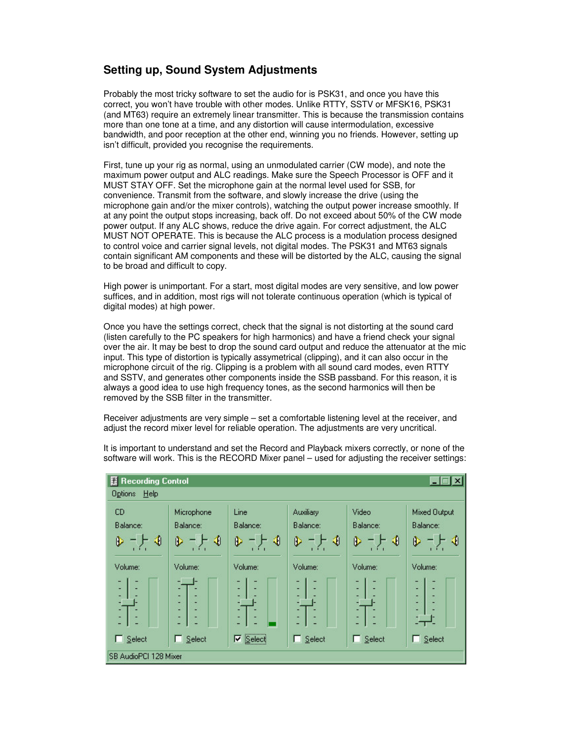# **Setting up, Sound System Adjustments**

Probably the most tricky software to set the audio for is PSK31, and once you have this correct, you won't have trouble with other modes. Unlike RTTY, SSTV or MFSK16, PSK31 (and MT63) require an extremely linear transmitter. This is because the transmission contains more than one tone at a time, and any distortion will cause intermodulation, excessive bandwidth, and poor reception at the other end, winning you no friends. However, setting up isn't difficult, provided you recognise the requirements.

First, tune up your rig as normal, using an unmodulated carrier (CW mode), and note the maximum power output and ALC readings. Make sure the Speech Processor is OFF and it MUST STAY OFF. Set the microphone gain at the normal level used for SSB, for convenience. Transmit from the software, and slowly increase the drive (using the microphone gain and/or the mixer controls), watching the output power increase smoothly. If at any point the output stops increasing, back off. Do not exceed about 50% of the CW mode power output. If any ALC shows, reduce the drive again. For correct adjustment, the ALC MUST NOT OPERATE. This is because the ALC process is a modulation process designed to control voice and carrier signal levels, not digital modes. The PSK31 and MT63 signals contain significant AM components and these will be distorted by the ALC, causing the signal to be broad and difficult to copy.

High power is unimportant. For a start, most digital modes are very sensitive, and low power suffices, and in addition, most rigs will not tolerate continuous operation (which is typical of digital modes) at high power.

Once you have the settings correct, check that the signal is not distorting at the sound card (listen carefully to the PC speakers for high harmonics) and have a friend check your signal over the air. It may be best to drop the sound card output and reduce the attenuator at the mic input. This type of distortion is typically assymetrical (clipping), and it can also occur in the microphone circuit of the rig. Clipping is a problem with all sound card modes, even RTTY and SSTV, and generates other components inside the SSB passband. For this reason, it is always a good idea to use high frequency tones, as the second harmonics will then be removed by the SSB filter in the transmitter.

Receiver adjustments are very simple – set a comfortable listening level at the receiver, and adjust the record mixer level for reliable operation. The adjustments are very uncritical.



It is important to understand and set the Record and Playback mixers correctly, or none of the software will work. This is the RECORD Mixer panel – used for adjusting the receiver settings: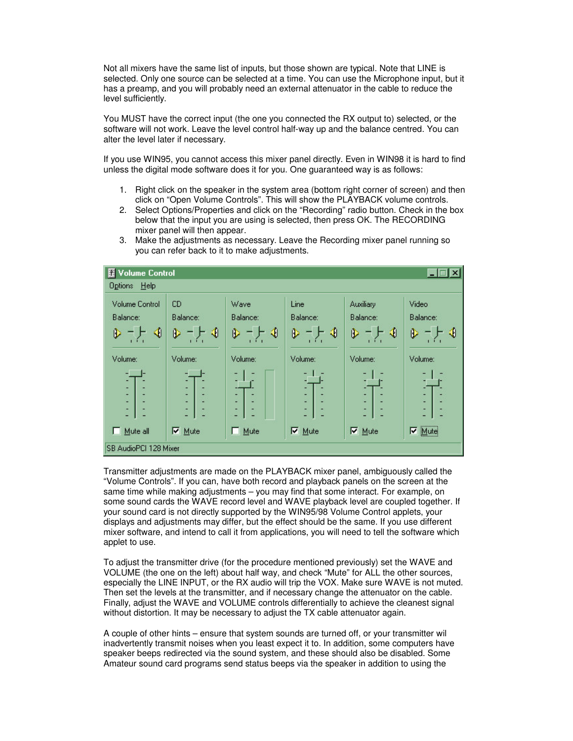Not all mixers have the same list of inputs, but those shown are typical. Note that LINE is selected. Only one source can be selected at a time. You can use the Microphone input, but it has a preamp, and you will probably need an external attenuator in the cable to reduce the level sufficiently.

You MUST have the correct input (the one you connected the RX output to) selected, or the software will not work. Leave the level control half-way up and the balance centred. You can alter the level later if necessary.

If you use WIN95, you cannot access this mixer panel directly. Even in WIN98 it is hard to find unless the digital mode software does it for you. One guaranteed way is as follows:

- 1. Right click on the speaker in the system area (bottom right corner of screen) and then click on "Open Volume Controls". This will show the PLAYBACK volume controls.
- 2. Select Options/Properties and click on the "Recording" radio button. Check in the box below that the input you are using is selected, then press OK. The RECORDING mixer panel will then appear.





Transmitter adjustments are made on the PLAYBACK mixer panel, ambiguously called the "Volume Controls". If you can, have both record and playback panels on the screen at the same time while making adjustments – you may find that some interact. For example, on some sound cards the WAVE record level and WAVE playback level are coupled together. If your sound card is not directly supported by the WIN95/98 Volume Control applets, your displays and adjustments may differ, but the effect should be the same. If you use different mixer software, and intend to call it from applications, you will need to tell the software which applet to use.

To adjust the transmitter drive (for the procedure mentioned previously) set the WAVE and VOLUME (the one on the left) about half way, and check "Mute" for ALL the other sources, especially the LINE INPUT, or the RX audio will trip the VOX. Make sure WAVE is not muted. Then set the levels at the transmitter, and if necessary change the attenuator on the cable. Finally, adjust the WAVE and VOLUME controls differentially to achieve the cleanest signal without distortion. It may be necessary to adjust the TX cable attenuator again.

A couple of other hints – ensure that system sounds are turned off, or your transmitter wil inadvertently transmit noises when you least expect it to. In addition, some computers have speaker beeps redirected via the sound system, and these should also be disabled. Some Amateur sound card programs send status beeps via the speaker in addition to using the